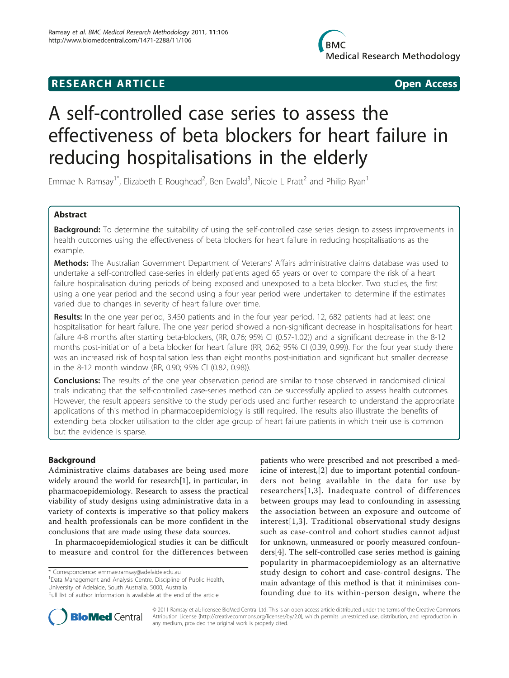## **RESEARCH ARTICLE Example 2014 CONSUMING ACCESS**

# A self-controlled case series to assess the effectiveness of beta blockers for heart failure in reducing hospitalisations in the elderly

Emmae N Ramsay<sup>1\*</sup>, Elizabeth E Roughead<sup>2</sup>, Ben Ewald<sup>3</sup>, Nicole L Pratt<sup>2</sup> and Philip Ryan<sup>1</sup>

## Abstract

Background: To determine the suitability of using the self-controlled case series design to assess improvements in health outcomes using the effectiveness of beta blockers for heart failure in reducing hospitalisations as the example.

Methods: The Australian Government Department of Veterans' Affairs administrative claims database was used to undertake a self-controlled case-series in elderly patients aged 65 years or over to compare the risk of a heart failure hospitalisation during periods of being exposed and unexposed to a beta blocker. Two studies, the first using a one year period and the second using a four year period were undertaken to determine if the estimates varied due to changes in severity of heart failure over time.

Results: In the one year period, 3,450 patients and in the four year period, 12, 682 patients had at least one hospitalisation for heart failure. The one year period showed a non-significant decrease in hospitalisations for heart failure 4-8 months after starting beta-blockers, (RR, 0.76; 95% CI (0.57-1.02)) and a significant decrease in the 8-12 months post-initiation of a beta blocker for heart failure (RR, 0.62; 95% CI (0.39, 0.99)). For the four year study there was an increased risk of hospitalisation less than eight months post-initiation and significant but smaller decrease in the 8-12 month window (RR, 0.90; 95% CI (0.82, 0.98)).

**Conclusions:** The results of the one year observation period are similar to those observed in randomised clinical trials indicating that the self-controlled case-series method can be successfully applied to assess health outcomes. However, the result appears sensitive to the study periods used and further research to understand the appropriate applications of this method in pharmacoepidemiology is still required. The results also illustrate the benefits of extending beta blocker utilisation to the older age group of heart failure patients in which their use is common but the evidence is sparse.

## Background

Administrative claims databases are being used more widely around the world for research[\[1\]](#page-5-0), in particular, in pharmacoepidemiology. Research to assess the practical viability of study designs using administrative data in a variety of contexts is imperative so that policy makers and health professionals can be more confident in the conclusions that are made using these data sources.

In pharmacoepidemiological studies it can be difficult to measure and control for the differences between

\* Correspondence: [emmae.ramsay@adelaide.edu.au](mailto:emmae.ramsay@adelaide.edu.au)

<sup>1</sup>Data Management and Analysis Centre, Discipline of Public Health, University of Adelaide, South Australia, 5000, Australia

patients who were prescribed and not prescribed a medicine of interest,[\[2](#page-5-0)] due to important potential confounders not being available in the data for use by researchers[[1,3\]](#page-5-0). Inadequate control of differences between groups may lead to confounding in assessing the association between an exposure and outcome of interest[[1,3\]](#page-5-0). Traditional observational study designs such as case-control and cohort studies cannot adjust for unknown, unmeasured or poorly measured confounders[[4\]](#page-5-0). The self-controlled case series method is gaining popularity in pharmacoepidemiology as an alternative study design to cohort and case-control designs. The main advantage of this method is that it minimises confounding due to its within-person design, where the



© 2011 Ramsay et al.; licensee BioMed Central Ltd. This is an open access article distributed under the terms of the Creative Commons Attribution License [\(http://creativecommons.org/licenses/by/2.0](http://creativecommons.org/licenses/by/2.0)), which permits unrestricted use, distribution, and reproduction in any medium, provided the original work is properly cited.

Full list of author information is available at the end of the article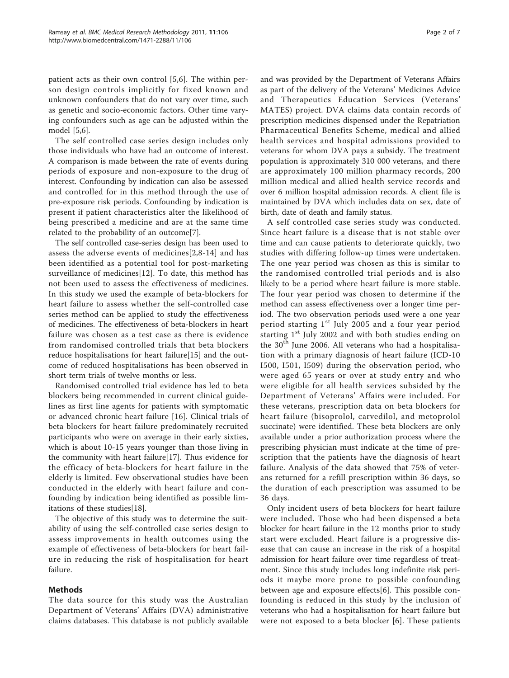patient acts as their own control [[5,6](#page-5-0)]. The within person design controls implicitly for fixed known and unknown confounders that do not vary over time, such as genetic and socio-economic factors. Other time varying confounders such as age can be adjusted within the model [\[5,6](#page-5-0)].

The self controlled case series design includes only those individuals who have had an outcome of interest. A comparison is made between the rate of events during periods of exposure and non-exposure to the drug of interest. Confounding by indication can also be assessed and controlled for in this method through the use of pre-exposure risk periods. Confounding by indication is present if patient characteristics alter the likelihood of being prescribed a medicine and are at the same time related to the probability of an outcome[[7\]](#page-5-0).

The self controlled case-series design has been used to assess the adverse events of medicines[[2,8](#page-5-0)-[14\]](#page-5-0) and has been identified as a potential tool for post-marketing surveillance of medicines[[12\]](#page-5-0). To date, this method has not been used to assess the effectiveness of medicines. In this study we used the example of beta-blockers for heart failure to assess whether the self-controlled case series method can be applied to study the effectiveness of medicines. The effectiveness of beta-blockers in heart failure was chosen as a test case as there is evidence from randomised controlled trials that beta blockers reduce hospitalisations for heart failure[\[15](#page-6-0)] and the outcome of reduced hospitalisations has been observed in short term trials of twelve months or less.

Randomised controlled trial evidence has led to beta blockers being recommended in current clinical guidelines as first line agents for patients with symptomatic or advanced chronic heart failure [\[16](#page-6-0)]. Clinical trials of beta blockers for heart failure predominately recruited participants who were on average in their early sixties, which is about 10-15 years younger than those living in the community with heart failure[[17](#page-6-0)]. Thus evidence for the efficacy of beta-blockers for heart failure in the elderly is limited. Few observational studies have been conducted in the elderly with heart failure and confounding by indication being identified as possible limitations of these studies[[18](#page-6-0)].

The objective of this study was to determine the suitability of using the self-controlled case series design to assess improvements in health outcomes using the example of effectiveness of beta-blockers for heart failure in reducing the risk of hospitalisation for heart failure.

## **Methods**

The data source for this study was the Australian Department of Veterans' Affairs (DVA) administrative claims databases. This database is not publicly available and was provided by the Department of Veterans Affairs as part of the delivery of the Veterans' Medicines Advice and Therapeutics Education Services (Veterans' MATES) project. DVA claims data contain records of prescription medicines dispensed under the Repatriation Pharmaceutical Benefits Scheme, medical and allied health services and hospital admissions provided to veterans for whom DVA pays a subsidy. The treatment population is approximately 310 000 veterans, and there are approximately 100 million pharmacy records, 200 million medical and allied health service records and over 6 million hospital admission records. A client file is maintained by DVA which includes data on sex, date of birth, date of death and family status.

A self controlled case series study was conducted. Since heart failure is a disease that is not stable over time and can cause patients to deteriorate quickly, two studies with differing follow-up times were undertaken. The one year period was chosen as this is similar to the randomised controlled trial periods and is also likely to be a period where heart failure is more stable. The four year period was chosen to determine if the method can assess effectiveness over a longer time period. The two observation periods used were a one year period starting 1<sup>st</sup> July 2005 and a four year period starting  $1<sup>st</sup>$  July 2002 and with both studies ending on the  $30<sup>th</sup>$  June 2006. All veterans who had a hospitalisation with a primary diagnosis of heart failure (ICD-10 I500, I501, I509) during the observation period, who were aged 65 years or over at study entry and who were eligible for all health services subsided by the Department of Veterans' Affairs were included. For these veterans, prescription data on beta blockers for heart failure (bisoprolol, carvedilol, and metoprolol succinate) were identified. These beta blockers are only available under a prior authorization process where the prescribing physician must indicate at the time of prescription that the patients have the diagnosis of heart failure. Analysis of the data showed that 75% of veterans returned for a refill prescription within 36 days, so the duration of each prescription was assumed to be 36 days.

Only incident users of beta blockers for heart failure were included. Those who had been dispensed a beta blocker for heart failure in the 12 months prior to study start were excluded. Heart failure is a progressive disease that can cause an increase in the risk of a hospital admission for heart failure over time regardless of treatment. Since this study includes long indefinite risk periods it maybe more prone to possible confounding between age and exposure effects[[6\]](#page-5-0). This possible confounding is reduced in this study by the inclusion of veterans who had a hospitalisation for heart failure but were not exposed to a beta blocker [[6\]](#page-5-0). These patients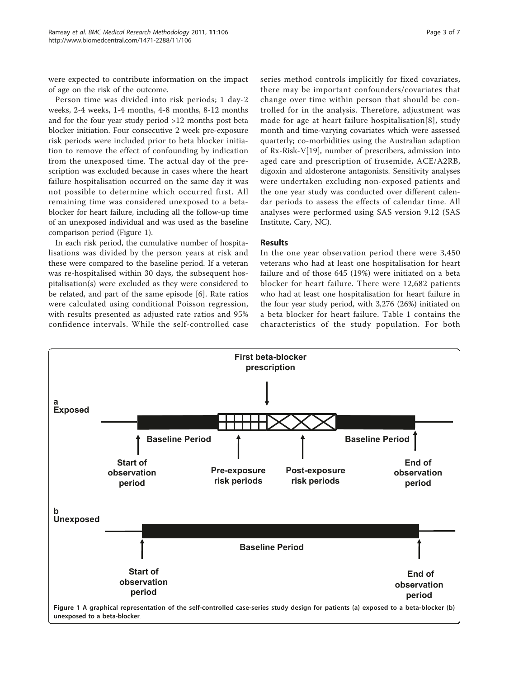were expected to contribute information on the impact of age on the risk of the outcome.

Person time was divided into risk periods; 1 day-2 weeks, 2-4 weeks, 1-4 months, 4-8 months, 8-12 months and for the four year study period >12 months post beta blocker initiation. Four consecutive 2 week pre-exposure risk periods were included prior to beta blocker initiation to remove the effect of confounding by indication from the unexposed time. The actual day of the prescription was excluded because in cases where the heart failure hospitalisation occurred on the same day it was not possible to determine which occurred first. All remaining time was considered unexposed to a betablocker for heart failure, including all the follow-up time of an unexposed individual and was used as the baseline comparison period (Figure 1).

In each risk period, the cumulative number of hospitalisations was divided by the person years at risk and these were compared to the baseline period. If a veteran was re-hospitalised within 30 days, the subsequent hospitalisation(s) were excluded as they were considered to be related, and part of the same episode [\[6](#page-5-0)]. Rate ratios were calculated using conditional Poisson regression, with results presented as adjusted rate ratios and 95% confidence intervals. While the self-controlled case series method controls implicitly for fixed covariates, there may be important confounders/covariates that change over time within person that should be controlled for in the analysis. Therefore, adjustment was made for age at heart failure hospitalisation[[8](#page-5-0)], study month and time-varying covariates which were assessed quarterly; co-morbidities using the Australian adaption of Rx-Risk-V[[19](#page-6-0)], number of prescribers, admission into aged care and prescription of frusemide, ACE/A2RB, digoxin and aldosterone antagonists. Sensitivity analyses were undertaken excluding non-exposed patients and the one year study was conducted over different calendar periods to assess the effects of calendar time. All analyses were performed using SAS version 9.12 (SAS Institute, Cary, NC).

## Results

In the one year observation period there were 3,450 veterans who had at least one hospitalisation for heart failure and of those 645 (19%) were initiated on a beta blocker for heart failure. There were 12,682 patients who had at least one hospitalisation for heart failure in the four year study period, with 3,276 (26%) initiated on a beta blocker for heart failure. Table [1](#page-3-0) contains the characteristics of the study population. For both

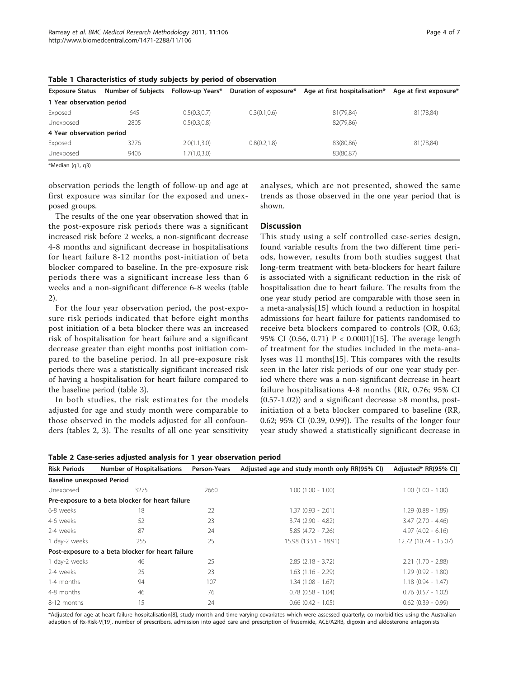| <b>Exposure Status</b>    | <b>Number of Subjects</b> | Follow-up Years* | Duration of exposure* | Age at first hospitalisation* | Age at first exposure* |
|---------------------------|---------------------------|------------------|-----------------------|-------------------------------|------------------------|
| 1 Year observation period |                           |                  |                       |                               |                        |
| Exposed                   | 645                       | 0.5(0.3,0.7)     | 0.3(0.1, 0.6)         | 81(79,84)                     | 81(78,84)              |
| Unexposed                 | 2805                      | 0.5(0.3,0.8)     |                       | 82(79,86)                     |                        |
| 4 Year observation period |                           |                  |                       |                               |                        |
| Exposed                   | 3276                      | 2.0(1.1,3.0)     | 0.8(0.2, 1.8)         | 83(80,86)                     | 81(78,84)              |
| Unexposed                 | 9406                      | 1.7(1.0,3.0)     |                       | 83(80,87)                     |                        |

<span id="page-3-0"></span>Table 1 Characteristics of study subjects by period of observation

\*Median (q1, q3)

observation periods the length of follow-up and age at first exposure was similar for the exposed and unexposed groups.

The results of the one year observation showed that in the post-exposure risk periods there was a significant increased risk before 2 weeks, a non-significant decrease 4-8 months and significant decrease in hospitalisations for heart failure 8-12 months post-initiation of beta blocker compared to baseline. In the pre-exposure risk periods there was a significant increase less than 6 weeks and a non-significant difference 6-8 weeks (table 2).

For the four year observation period, the post-exposure risk periods indicated that before eight months post initiation of a beta blocker there was an increased risk of hospitalisation for heart failure and a significant decrease greater than eight months post initiation compared to the baseline period. In all pre-exposure risk periods there was a statistically significant increased risk of having a hospitalisation for heart failure compared to the baseline period (table [3\)](#page-4-0).

In both studies, the risk estimates for the models adjusted for age and study month were comparable to those observed in the models adjusted for all confounders (tables 2, [3](#page-4-0)). The results of all one year sensitivity analyses, which are not presented, showed the same trends as those observed in the one year period that is shown.

## **Discussion**

This study using a self controlled case-series design, found variable results from the two different time periods, however, results from both studies suggest that long-term treatment with beta-blockers for heart failure is associated with a significant reduction in the risk of hospitalisation due to heart failure. The results from the one year study period are comparable with those seen in a meta-analysis[[15](#page-6-0)] which found a reduction in hospital admissions for heart failure for patients randomised to receive beta blockers compared to controls (OR, 0.63; 95% CI (0.56, 0.71)  $P < 0.0001$  [[15\]](#page-6-0). The average length of treatment for the studies included in the meta-analyses was 11 months[\[15](#page-6-0)]. This compares with the results seen in the later risk periods of our one year study period where there was a non-significant decrease in heart failure hospitalisations 4-8 months (RR, 0.76; 95% CI  $(0.57-1.02)$  and a significant decrease  $>8$  months, postinitiation of a beta blocker compared to baseline (RR, 0.62; 95% CI (0.39, 0.99)). The results of the longer four year study showed a statistically significant decrease in

Table 2 Case-series adjusted analysis for 1 year observation period

| <b>Risk Periods</b>              | <b>Number of Hospitalisations</b>                 | Person-Years | Adjusted age and study month only RR(95% CI) | Adjusted* RR(95% CI)   |  |  |  |
|----------------------------------|---------------------------------------------------|--------------|----------------------------------------------|------------------------|--|--|--|
| <b>Baseline unexposed Period</b> |                                                   |              |                                              |                        |  |  |  |
| Unexposed                        | 3275                                              | 2660         | $1.00(1.00 - 1.00)$                          | $1.00$ $(1.00 - 1.00)$ |  |  |  |
|                                  | Pre-exposure to a beta blocker for heart failure  |              |                                              |                        |  |  |  |
| 6-8 weeks                        | 18                                                | 22           | $1.37(0.93 - 2.01)$                          | $1.29(0.88 - 1.89)$    |  |  |  |
| 4-6 weeks                        | 52                                                | 23           | $3.74$ $(2.90 - 4.82)$                       | $3.47$ $(2.70 - 4.46)$ |  |  |  |
| 2-4 weeks                        | 87                                                | 24           | $5.85(4.72 - 7.26)$                          | $4.97(4.02 - 6.16)$    |  |  |  |
| 1 day-2 weeks                    | 255                                               | 25           | 15.98 (13.51 - 18.91)                        | 12.72 (10.74 - 15.07)  |  |  |  |
|                                  | Post-exposure to a beta blocker for heart failure |              |                                              |                        |  |  |  |
| 1 day-2 weeks                    | 46                                                | 25           | $2.85$ $(2.18 - 3.72)$                       | $2.21(1.70 - 2.88)$    |  |  |  |
| 2-4 weeks                        | 25                                                | 23           | $1.63(1.16 - 2.29)$                          | $1.29(0.92 - 1.80)$    |  |  |  |
| 1-4 months                       | 94                                                | 107          | $1.34(1.08 - 1.67)$                          | $1.18(0.94 - 1.47)$    |  |  |  |
| 4-8 months                       | 46                                                | 76           | $0.78$ $(0.58 - 1.04)$                       | $0.76$ $(0.57 - 1.02)$ |  |  |  |
| 8-12 months                      | 15                                                | 24           | $0.66$ $(0.42 - 1.05)$                       | $0.62$ $(0.39 - 0.99)$ |  |  |  |
|                                  |                                                   |              |                                              |                        |  |  |  |

\*Adjusted for age at heart failure hospitalisation[[8](#page-5-0)], study month and time-varying covariates which were assessed quarterly; co-morbidities using the Australian adaption of Rx-Risk-V[[19\]](#page-6-0), number of prescribers, admission into aged care and prescription of frusemide, ACE/A2RB, digoxin and aldosterone antagonists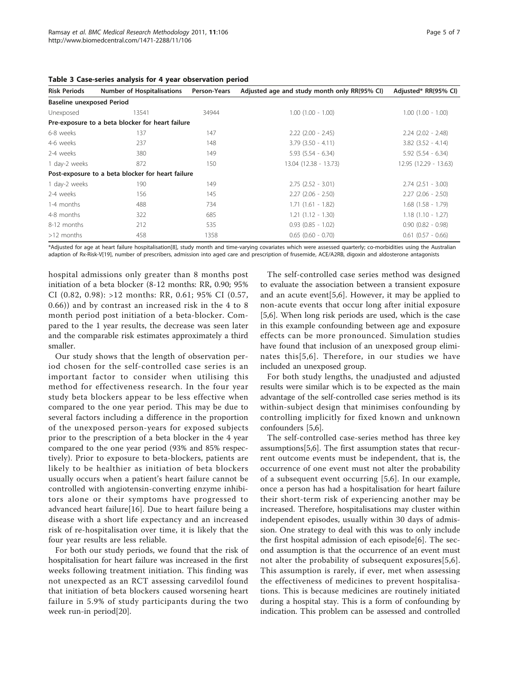| <b>Risk Periods</b>              | <b>Number of Hospitalisations</b>                 | Person-Years | Adjusted age and study month only RR(95% CI) | Adjusted* RR(95% CI)   |
|----------------------------------|---------------------------------------------------|--------------|----------------------------------------------|------------------------|
| <b>Baseline unexposed Period</b> |                                                   |              |                                              |                        |
| Unexposed                        | 13541                                             | 34944        | $1.00(1.00 - 1.00)$                          | $1.00$ $(1.00 - 1.00)$ |
|                                  | Pre-exposure to a beta blocker for heart failure  |              |                                              |                        |
| 6-8 weeks                        | 137                                               | 147          | $2.22$ $(2.00 - 2.45)$                       | $2.24$ $(2.02 - 2.48)$ |
| 4-6 weeks                        | 237                                               | 148          | $3.79$ $(3.50 - 4.11)$                       | $3.82$ $(3.52 - 4.14)$ |
| 2-4 weeks                        | 380                                               | 149          | $5.93$ $(5.54 - 6.34)$                       | $5.92$ $(5.54 - 6.34)$ |
| 1 day-2 weeks                    | 872                                               | 150          | 13.04 (12.38 - 13.73)                        | 12.95 (12.29 - 13.63)  |
|                                  | Post-exposure to a beta blocker for heart failure |              |                                              |                        |
| 1 day-2 weeks                    | 190                                               | 149          | $2.75$ $(2.52 - 3.01)$                       | $2.74$ $(2.51 - 3.00)$ |
| 2-4 weeks                        | 156                                               | 145          | $2.27(2.06 - 2.50)$                          | $2.27$ $(2.06 - 2.50)$ |
| 1-4 months                       | 488                                               | 734          | $1.71(1.61 - 1.82)$                          | $1.68$ $(1.58 - 1.79)$ |
| 4-8 months                       | 322                                               | 685          | $1.21(1.12 - 1.30)$                          | $1.18(1.10 - 1.27)$    |
| 8-12 months                      | 212                                               | 535          | $0.93$ $(0.85 - 1.02)$                       | $0.90$ $(0.82 - 0.98)$ |
| $>12$ months                     | 458                                               | 1358         | $0.65$ $(0.60 - 0.70)$                       | $0.61$ $(0.57 - 0.66)$ |

<span id="page-4-0"></span>Table 3 Case-series analysis for 4 year observation period

\*Adjusted for age at heart failure hospitalisation[[8](#page-5-0)], study month and time-varying covariates which were assessed quarterly; co-morbidities using the Australian adaption of Rx-Risk-V[[19\]](#page-6-0), number of prescribers, admission into aged care and prescription of frusemide, ACE/A2RB, digoxin and aldosterone antagonists

hospital admissions only greater than 8 months post initiation of a beta blocker (8-12 months: RR, 0.90; 95% CI (0.82, 0.98): >12 months: RR, 0.61; 95% CI (0.57, 0.66)) and by contrast an increased risk in the 4 to 8 month period post initiation of a beta-blocker. Compared to the 1 year results, the decrease was seen later and the comparable risk estimates approximately a third smaller.

Our study shows that the length of observation period chosen for the self-controlled case series is an important factor to consider when utilising this method for effectiveness research. In the four year study beta blockers appear to be less effective when compared to the one year period. This may be due to several factors including a difference in the proportion of the unexposed person-years for exposed subjects prior to the prescription of a beta blocker in the 4 year compared to the one year period (93% and 85% respectively). Prior to exposure to beta-blockers, patients are likely to be healthier as initiation of beta blockers usually occurs when a patient's heart failure cannot be controlled with angiotensin-converting enzyme inhibitors alone or their symptoms have progressed to advanced heart failure[[16\]](#page-6-0). Due to heart failure being a disease with a short life expectancy and an increased risk of re-hospitalisation over time, it is likely that the four year results are less reliable.

For both our study periods, we found that the risk of hospitalisation for heart failure was increased in the first weeks following treatment initiation. This finding was not unexpected as an RCT assessing carvedilol found that initiation of beta blockers caused worsening heart failure in 5.9% of study participants during the two week run-in period[[20](#page-6-0)].

The self-controlled case series method was designed to evaluate the association between a transient exposure and an acute event[[5,6\]](#page-5-0). However, it may be applied to non-acute events that occur long after initial exposure [[5,6\]](#page-5-0). When long risk periods are used, which is the case in this example confounding between age and exposure effects can be more pronounced. Simulation studies have found that inclusion of an unexposed group eliminates this[[5,6\]](#page-5-0). Therefore, in our studies we have included an unexposed group.

For both study lengths, the unadjusted and adjusted results were similar which is to be expected as the main advantage of the self-controlled case series method is its within-subject design that minimises confounding by controlling implicitly for fixed known and unknown confounders [[5](#page-5-0),[6](#page-5-0)].

The self-controlled case-series method has three key assumptions[[5](#page-5-0),[6](#page-5-0)]. The first assumption states that recurrent outcome events must be independent, that is, the occurrence of one event must not alter the probability of a subsequent event occurring [\[5](#page-5-0),[6\]](#page-5-0). In our example, once a person has had a hospitalisation for heart failure their short-term risk of experiencing another may be increased. Therefore, hospitalisations may cluster within independent episodes, usually within 30 days of admission. One strategy to deal with this was to only include the first hospital admission of each episode[[6\]](#page-5-0). The second assumption is that the occurrence of an event must not alter the probability of subsequent exposures[\[5,6](#page-5-0)]. This assumption is rarely, if ever, met when assessing the effectiveness of medicines to prevent hospitalisations. This is because medicines are routinely initiated during a hospital stay. This is a form of confounding by indication. This problem can be assessed and controlled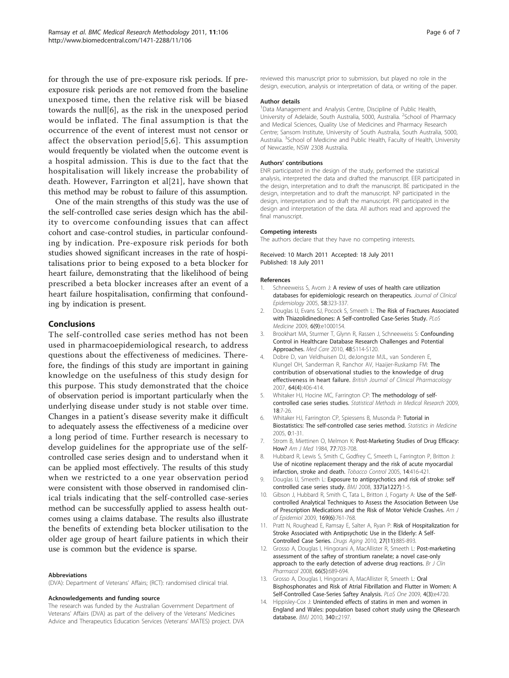<span id="page-5-0"></span>for through the use of pre-exposure risk periods. If preexposure risk periods are not removed from the baseline unexposed time, then the relative risk will be biased towards the null[6], as the risk in the unexposed period would be inflated. The final assumption is that the occurrence of the event of interest must not censor or affect the observation period[5,6]. This assumption would frequently be violated when the outcome event is a hospital admission. This is due to the fact that the hospitalisation will likely increase the probability of death. However, Farrington et al[[21\]](#page-6-0), have shown that this method may be robust to failure of this assumption.

One of the main strengths of this study was the use of the self-controlled case series design which has the ability to overcome confounding issues that can affect cohort and case-control studies, in particular confounding by indication. Pre-exposure risk periods for both studies showed significant increases in the rate of hospitalisations prior to being exposed to a beta blocker for heart failure, demonstrating that the likelihood of being prescribed a beta blocker increases after an event of a heart failure hospitalisation, confirming that confounding by indication is present.

## Conclusions

The self-controlled case series method has not been used in pharmacoepidemiological research, to address questions about the effectiveness of medicines. Therefore, the findings of this study are important in gaining knowledge on the usefulness of this study design for this purpose. This study demonstrated that the choice of observation period is important particularly when the underlying disease under study is not stable over time. Changes in a patient's disease severity make it difficult to adequately assess the effectiveness of a medicine over a long period of time. Further research is necessary to develop guidelines for the appropriate use of the selfcontrolled case series design and to understand when it can be applied most effectively. The results of this study when we restricted to a one year observation period were consistent with those observed in randomised clinical trials indicating that the self-controlled case-series method can be successfully applied to assess health outcomes using a claims database. The results also illustrate the benefits of extending beta blocker utilisation to the older age group of heart failure patients in which their use is common but the evidence is sparse.

#### Abbreviations

(DVA): Department of Veterans' Affairs; (RCT): randomised clinical trial.

#### Acknowledgements and funding source

The research was funded by the Australian Government Department of Veterans' Affairs (DVA) as part of the delivery of the Veterans' Medicines Advice and Therapeutics Education Services (Veterans' MATES) project. DVA

reviewed this manuscript prior to submission, but played no role in the design, execution, analysis or interpretation of data, or writing of the paper.

#### Author details

<sup>1</sup>Data Management and Analysis Centre, Discipline of Public Health University of Adelaide, South Australia, 5000, Australia. <sup>2</sup>School of Pharmacy and Medical Sciences, Quality Use of Medicines and Pharmacy Research Centre; Sansom Institute, University of South Australia, South Australia, 5000, Australia. <sup>3</sup> School of Medicine and Public Health, Faculty of Health, University of Newcastle, NSW 2308 Australia.

#### Authors' contributions

ENR participated in the design of the study, performed the statistical analysis, interpreted the data and drafted the manuscript. EER participated in the design, interpretation and to draft the manuscript. BE participated in the design, interpretation and to draft the manuscript. NP participated in the design, interpretation and to draft the manuscript. PR participated in the design and interpretation of the data. All authors read and approved the final manuscript.

#### Competing interests

The authors declare that they have no competing interests.

Received: 10 March 2011 Accepted: 18 July 2011 Published: 18 July 2011

#### References

- 1. Schneeweiss S, Avorn J: [A review of uses of health care utilization](http://www.ncbi.nlm.nih.gov/pubmed/15862718?dopt=Abstract) [databases for epidemiologic research on therapeutics.](http://www.ncbi.nlm.nih.gov/pubmed/15862718?dopt=Abstract) Journal of Clinical Epidemiology 2005, 58:323-337.
- 2. Douglas IJ, Evans SJ, Pocock S, Smeeth L: [The Risk of Fractures Associated](http://www.ncbi.nlm.nih.gov/pubmed/19787025?dopt=Abstract) [with Thiazolidinediones: A Self-controlled Case-Series Study.](http://www.ncbi.nlm.nih.gov/pubmed/19787025?dopt=Abstract) PLoS Medicine 2009, 6(9):e1000154.
- 3. Brookhart MA, Sturmer T, Glynn R, Rassen J, Schneeweiss S: [Confounding](http://www.ncbi.nlm.nih.gov/pubmed/20473199?dopt=Abstract) [Control in Healthcare Database Research Challenges and Potential](http://www.ncbi.nlm.nih.gov/pubmed/20473199?dopt=Abstract) [Approaches.](http://www.ncbi.nlm.nih.gov/pubmed/20473199?dopt=Abstract) Med Care 2010, 48:S114-S120.
- 4. Dobre D, van Veldhuisen DJ, deJongste MJL, van Sonderen E, Klungel OH, Sanderman R, Ranchor AV, Haaijer-Ruskamp FM: [The](http://www.ncbi.nlm.nih.gov/pubmed/17764473?dopt=Abstract) [contribution of observational studies to the knowledge of drug](http://www.ncbi.nlm.nih.gov/pubmed/17764473?dopt=Abstract) [effectiveness in heart failure.](http://www.ncbi.nlm.nih.gov/pubmed/17764473?dopt=Abstract) British Journal of Clinical Pharmacology 2007, 64(4):406-414.
- 5. Whitaker HJ, Hocine MC, Farrington CP: [The methodology of self](http://www.ncbi.nlm.nih.gov/pubmed/18562396?dopt=Abstract)[controlled case series studies.](http://www.ncbi.nlm.nih.gov/pubmed/18562396?dopt=Abstract) Statistical Methods in Medical Research 2009, 18:7-26.
- 6. Whitaker HJ, Farrington CP, Spiessens B, Musonda P: Tutorial in Biostatistics: The self-controlled case series method. Statistics in Medicine 2005, 0:1-31.
- 7. Strom B, Miettinen O, Melmon K: [Post-Marketing Studies of Drug Efficacy:](http://www.ncbi.nlm.nih.gov/pubmed/6486146?dopt=Abstract) [How?](http://www.ncbi.nlm.nih.gov/pubmed/6486146?dopt=Abstract) Am J Med 1984, 77:703-708.
- 8. Hubbard R, Lewis S, Smith C, Godfrey C, Smeeth L, Farrington P, Britton J: [Use of nicotine replacement therapy and the risk of acute myocardial](http://www.ncbi.nlm.nih.gov/pubmed/16319366?dopt=Abstract) [infarction, stroke and death.](http://www.ncbi.nlm.nih.gov/pubmed/16319366?dopt=Abstract) Tobacco Control 2005, 14:416-421.
- 9. Douglas IJ, Smeeth L: Exposure to antipsychotics and risk of stroke: self controlled case series study. BMJ 2008, 337(a1227):1-5.
- 10. Gibson J, Hubbard R, Smith C, Tata L, Britton J, Fogarty A: Use of the Selfcontrolled Analytical Techniques to Assess the Association Between Use of Prescription Medications and the Risk of Motor Vehicle Crashes. Am J of Epidemiol 2009, 169(6):761-768.
- 11. Pratt N, Roughead E, Ramsay E, Salter A, Ryan P: [Risk of Hospitalization for](http://www.ncbi.nlm.nih.gov/pubmed/20964462?dopt=Abstract) [Stroke Associated with Antipsychotic Use in the Elderly: A Self-](http://www.ncbi.nlm.nih.gov/pubmed/20964462?dopt=Abstract)[Controlled Case Series.](http://www.ncbi.nlm.nih.gov/pubmed/20964462?dopt=Abstract) Drugs Aging 2010, 27(11):885-893.
- 12. Grosso A, Douglas I, Hingorani A, MacAllister R, Smeeth L: [Post-marketing](http://www.ncbi.nlm.nih.gov/pubmed/18754840?dopt=Abstract) [assessment of the saftey of strontium ranelate; a novel case-only](http://www.ncbi.nlm.nih.gov/pubmed/18754840?dopt=Abstract) [approach to the early detection of adverse drug reactions.](http://www.ncbi.nlm.nih.gov/pubmed/18754840?dopt=Abstract) Br J Clin Pharmacol 2008, 66(5):689-694.
- 13. Grosso A, Douglas I, Hingorani A, MacAllister R, Smeeth L: [Oral](http://www.ncbi.nlm.nih.gov/pubmed/19266096?dopt=Abstract) [Bisphosphonates and Risk of Atrial Fibrillation and Flutter in Women: A](http://www.ncbi.nlm.nih.gov/pubmed/19266096?dopt=Abstract) [Self-Controlled Case-Series Saftey Analysis.](http://www.ncbi.nlm.nih.gov/pubmed/19266096?dopt=Abstract) PLoS One 2009, 4(3):e4720.
- 14. Hippisley-Cox J: [Unintended effects of statins in men and women in](http://www.ncbi.nlm.nih.gov/pubmed/20488911?dopt=Abstract) [England and Wales: population based cohort study using the QResearch](http://www.ncbi.nlm.nih.gov/pubmed/20488911?dopt=Abstract) [database.](http://www.ncbi.nlm.nih.gov/pubmed/20488911?dopt=Abstract) BMJ 2010, 340:c2197.